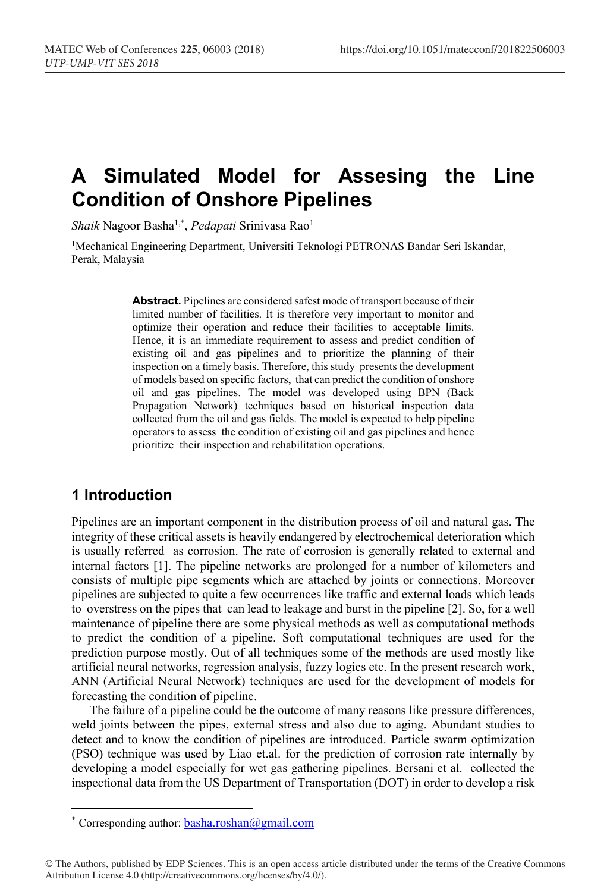# **A Simulated Model for Assesing the Line Condition of Onshore Pipelines**

*Shaik* Nagoor Basha1,\* , *Pedapati* Srinivasa Rao1

1Mechanical Engineering Department, Universiti Teknologi PETRONAS Bandar Seri Iskandar, Perak, Malaysia

> **Abstract.** Pipelines are considered safest mode of transport because of their limited number of facilities. It is therefore very important to monitor and optimize their operation and reduce their facilities to acceptable limits. Hence, it is an immediate requirement to assess and predict condition of existing oil and gas pipelines and to prioritize the planning of their inspection on a timely basis. Therefore, this study presents the development of models based on specific factors, that can predict the condition of onshore oil and gas pipelines. The model was developed using BPN (Back Propagation Network) techniques based on historical inspection data collected from the oil and gas fields. The model is expected to help pipeline operators to assess the condition of existing oil and gas pipelines and hence prioritize their inspection and rehabilitation operations.

# **1 Introduction**

Pipelines are an important component in the distribution process of oil and natural gas. The integrity of these critical assets is heavily endangered by electrochemical deterioration which is usually referred as corrosion. The rate of corrosion is generally related to external and internal factors [1]. The pipeline networks are prolonged for a number of kilometers and consists of multiple pipe segments which are attached by joints or connections. Moreover pipelines are subjected to quite a few occurrences like traffic and external loads which leads to overstress on the pipes that can lead to leakage and burst in the pipeline [2]. So, for a well maintenance of pipeline there are some physical methods as well as computational methods to predict the condition of a pipeline. Soft computational techniques are used for the prediction purpose mostly. Out of all techniques some of the methods are used mostly like artificial neural networks, regression analysis, fuzzy logics etc. In the present research work, ANN (Artificial Neural Network) techniques are used for the development of models for forecasting the condition of pipeline.

The failure of a pipeline could be the outcome of many reasons like pressure differences, weld joints between the pipes, external stress and also due to aging. Abundant studies to detect and to know the condition of pipelines are introduced. Particle swarm optimization (PSO) technique was used by Liao et.al. for the prediction of corrosion rate internally by developing a model especially for wet gas gathering pipelines. Bersani et al. collected the inspectional data from the US Department of Transportation (DOT) in order to develop a risk

 <sup>\*</sup> Corresponding author: basha.roshan@gmail.com

<sup>©</sup> The Authors, published by EDP Sciences. This is an open access article distributed under the terms of the Creative Commons Attribution License 4.0 (http://creativecommons.org/licenses/by/4.0/).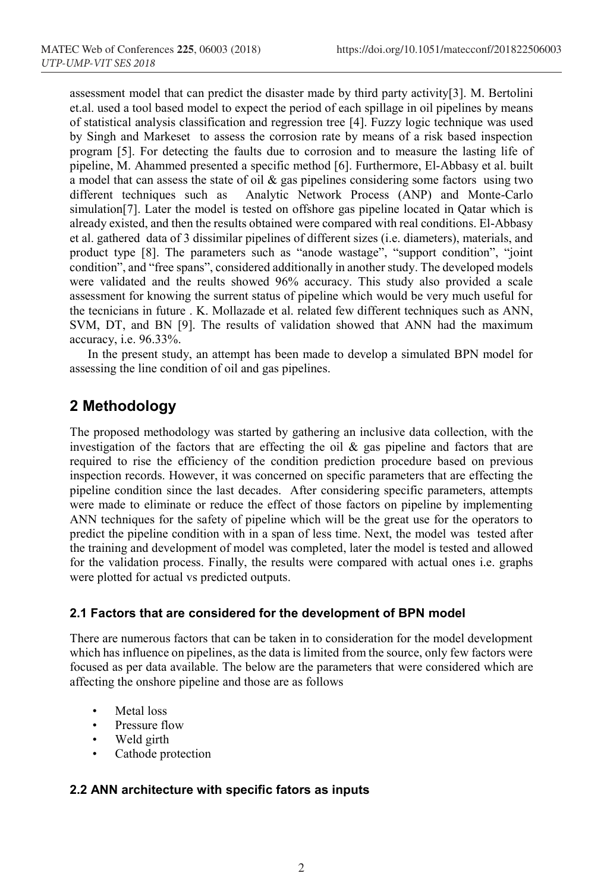assessment model that can predict the disaster made by third party activity[3]. M. Bertolini et.al. used a tool based model to expect the period of each spillage in oil pipelines by means of statistical analysis classification and regression tree [4]. Fuzzy logic technique was used by Singh and Markeset to assess the corrosion rate by means of a risk based inspection program [5]. For detecting the faults due to corrosion and to measure the lasting life of pipeline, M. Ahammed presented a specific method [6]. Furthermore, El-Abbasy et al. built a model that can assess the state of oil  $\&$  gas pipelines considering some factors using two different techniques such as Analytic Network Process (ANP) and Monte-Carlo simulation[7]. Later the model is tested on offshore gas pipeline located in Qatar which is already existed, and then the results obtained were compared with real conditions. El-Abbasy et al. gathered data of 3 dissimilar pipelines of different sizes (i.e. diameters), materials, and product type [8]. The parameters such as "anode wastage", "support condition", "joint condition", and "free spans", considered additionally in another study. The developed models were validated and the reults showed 96% accuracy. This study also provided a scale assessment for knowing the surrent status of pipeline which would be very much useful for the tecnicians in future . K. Mollazade et al. related few different techniques such as ANN, SVM, DT, and BN [9]. The results of validation showed that ANN had the maximum accuracy, i.e. 96.33%.

In the present study, an attempt has been made to develop a simulated BPN model for assessing the line condition of oil and gas pipelines.

# **2 Methodology**

The proposed methodology was started by gathering an inclusive data collection, with the investigation of the factors that are effecting the oil  $\&$  gas pipeline and factors that are required to rise the efficiency of the condition prediction procedure based on previous inspection records. However, it was concerned on specific parameters that are effecting the pipeline condition since the last decades. After considering specific parameters, attempts were made to eliminate or reduce the effect of those factors on pipeline by implementing ANN techniques for the safety of pipeline which will be the great use for the operators to predict the pipeline condition with in a span of less time. Next, the model was tested after the training and development of model was completed, later the model is tested and allowed for the validation process. Finally, the results were compared with actual ones i.e. graphs were plotted for actual vs predicted outputs.

#### **2.1 Factors that are considered for the development of BPN model**

There are numerous factors that can be taken in to consideration for the model development which has influence on pipelines, as the data is limited from the source, only few factors were focused as per data available. The below are the parameters that were considered which are affecting the onshore pipeline and those are as follows

- Metal loss
- Pressure flow
- Weld girth
- Cathode protection

#### **2.2 ANN architecture with specific fators as inputs**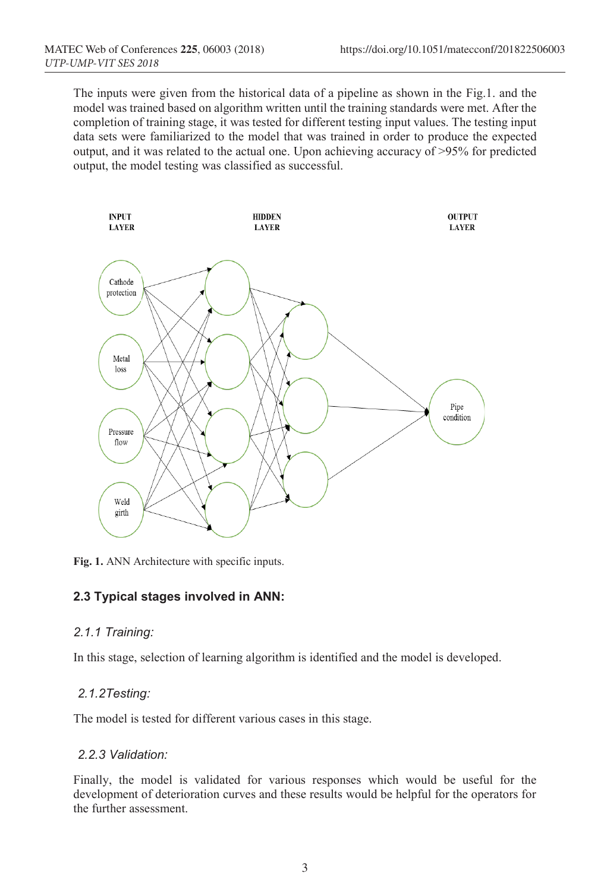The inputs were given from the historical data of a pipeline as shown in the Fig.1. and the model was trained based on algorithm written until the training standards were met. After the completion of training stage, it was tested for different testing input values. The testing input data sets were familiarized to the model that was trained in order to produce the expected output, and it was related to the actual one. Upon achieving accuracy of >95% for predicted output, the model testing was classified as successful.



**Fig. 1.** ANN Architecture with specific inputs.

#### **2.3 Typical stages involved in ANN:**

#### *2.1.1 Training:*

In this stage, selection of learning algorithm is identified and the model is developed.

#### *2.1.2Testing:*

The model is tested for different various cases in this stage.

#### *2.2.3 Validation:*

Finally, the model is validated for various responses which would be useful for the development of deterioration curves and these results would be helpful for the operators for the further assessment.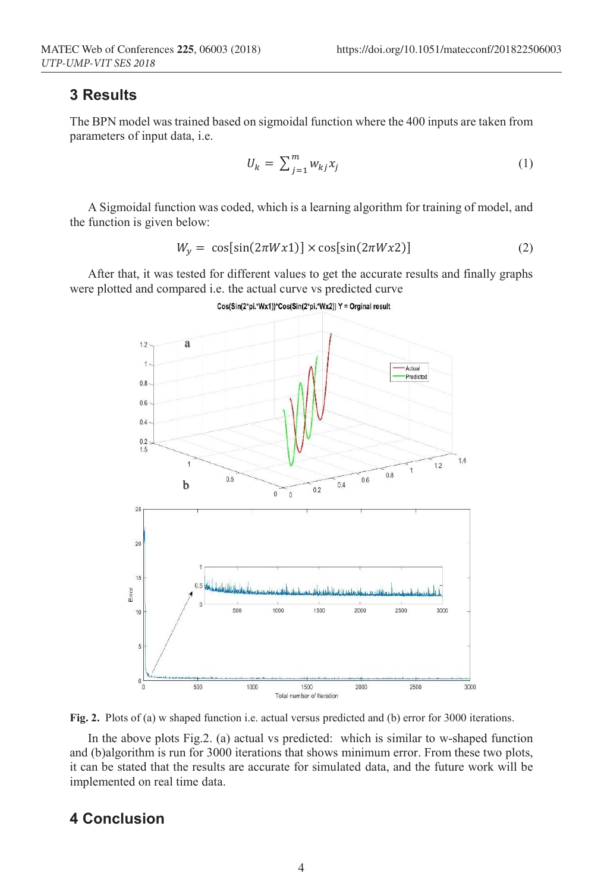### **3 Results**

The BPN model was trained based on sigmoidal function where the 400 inputs are taken from parameters of input data, i.e.

$$
U_k = \sum_{j=1}^m w_{kj} x_j \tag{1}
$$

A Sigmoidal function was coded, which is a learning algorithm for training of model, and the function is given below:

$$
W_y = \cos[\sin(2\pi Wx1)] \times \cos[\sin(2\pi Wx2)] \tag{2}
$$

After that, it was tested for different values to get the accurate results and finally graphs were plotted and compared i.e. the actual curve vs predicted curve



Cos(Sin(2\*pi.\*Wx1))\*Cos(Sin(2\*pi.\*Wx2)) Y = Orginal result

**Fig. 2.** Plots of (a) w shaped function i.e. actual versus predicted and (b) error for 3000 iterations.

In the above plots Fig.2. (a) actual vs predicted: which is similar to w-shaped function and (b)algorithm is run for 3000 iterations that shows minimum error. From these two plots, it can be stated that the results are accurate for simulated data, and the future work will be implemented on real time data.

## **4 Conclusion**